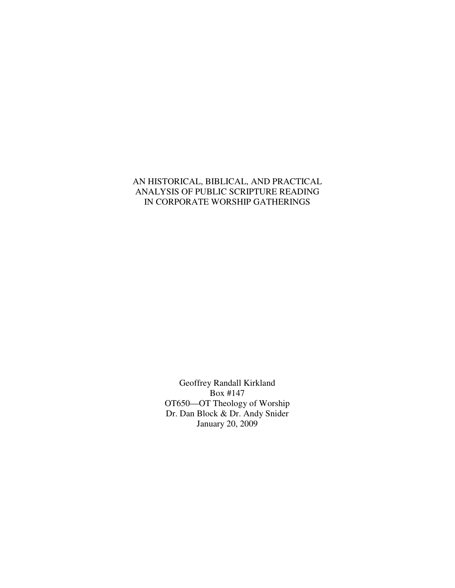## AN HISTORICAL, BIBLICAL, AND PRACTICAL ANALYSIS OF PUBLIC SCRIPTURE READING IN CORPORATE WORSHIP GATHERINGS

Geoffrey Randall Kirkland Box #147 OT650—OT Theology of Worship Dr. Dan Block & Dr. Andy Snider January 20, 2009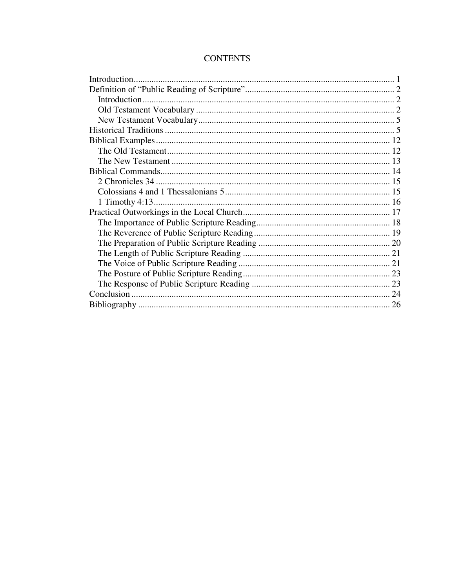# **CONTENTS**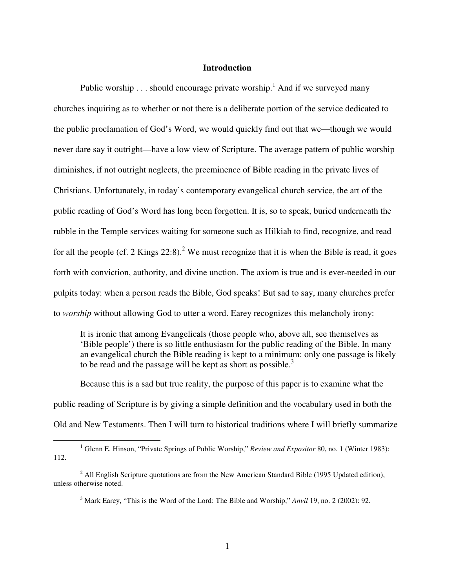### **Introduction**

Public worship  $\dots$  should encourage private worship.<sup>1</sup> And if we surveyed many churches inquiring as to whether or not there is a deliberate portion of the service dedicated to the public proclamation of God's Word, we would quickly find out that we—though we would never dare say it outright—have a low view of Scripture. The average pattern of public worship diminishes, if not outright neglects, the preeminence of Bible reading in the private lives of Christians. Unfortunately, in today's contemporary evangelical church service, the art of the public reading of God's Word has long been forgotten. It is, so to speak, buried underneath the rubble in the Temple services waiting for someone such as Hilkiah to find, recognize, and read for all the people (cf. 2 Kings  $22:8$ ).<sup>2</sup> We must recognize that it is when the Bible is read, it goes forth with conviction, authority, and divine unction. The axiom is true and is ever-needed in our pulpits today: when a person reads the Bible, God speaks! But sad to say, many churches prefer to *worship* without allowing God to utter a word. Earey recognizes this melancholy irony:

It is ironic that among Evangelicals (those people who, above all, see themselves as 'Bible people') there is so little enthusiasm for the public reading of the Bible. In many an evangelical church the Bible reading is kept to a minimum: only one passage is likely to be read and the passage will be kept as short as possible.<sup>3</sup>

Because this is a sad but true reality, the purpose of this paper is to examine what the public reading of Scripture is by giving a simple definition and the vocabulary used in both the Old and New Testaments. Then I will turn to historical traditions where I will briefly summarize

<sup>&</sup>lt;sup>1</sup> Glenn E. Hinson, "Private Springs of Public Worship," *Review and Expositor* 80, no. 1 (Winter 1983): 112.

 $2$  All English Scripture quotations are from the New American Standard Bible (1995 Updated edition), unless otherwise noted.

<sup>3</sup> Mark Earey, "This is the Word of the Lord: The Bible and Worship," *Anvil* 19, no. 2 (2002): 92.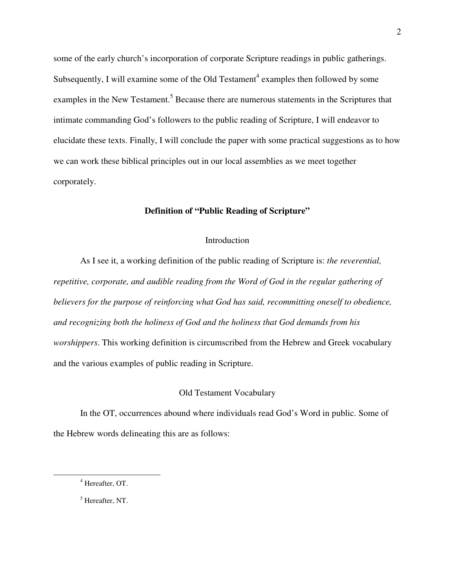some of the early church's incorporation of corporate Scripture readings in public gatherings. Subsequently, I will examine some of the Old Testament<sup>4</sup> examples then followed by some examples in the New Testament.<sup>5</sup> Because there are numerous statements in the Scriptures that intimate commanding God's followers to the public reading of Scripture, I will endeavor to elucidate these texts. Finally, I will conclude the paper with some practical suggestions as to how we can work these biblical principles out in our local assemblies as we meet together corporately.

#### **Definition of "Public Reading of Scripture"**

#### Introduction

As I see it, a working definition of the public reading of Scripture is: *the reverential, repetitive, corporate, and audible reading from the Word of God in the regular gathering of believers for the purpose of reinforcing what God has said, recommitting oneself to obedience, and recognizing both the holiness of God and the holiness that God demands from his worshippers*. This working definition is circumscribed from the Hebrew and Greek vocabulary and the various examples of public reading in Scripture.

#### Old Testament Vocabulary

In the OT, occurrences abound where individuals read God's Word in public. Some of the Hebrew words delineating this are as follows:

<sup>4</sup> Hereafter, OT.

<sup>5</sup> Hereafter, NT.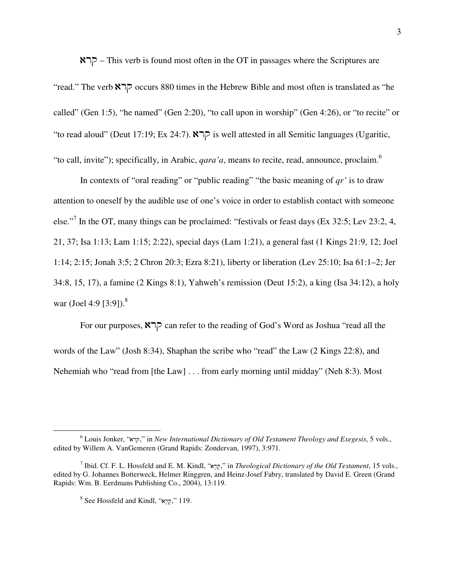$RTP$  – This verb is found most often in the OT in passages where the Scriptures are

"read." The verb  $\mathbb{R}$   $\Box$   $\Box$  occurs 880 times in the Hebrew Bible and most often is translated as "he called" (Gen 1:5), "he named" (Gen 2:20), "to call upon in worship" (Gen 4:26), or "to recite" or "to read aloud" (Deut 17:19; Ex 24:7).  $\triangleright$  is well attested in all Semitic languages (Ugaritic, "to call, invite"); specifically, in Arabic, *qara'a*, means to recite, read, announce, proclaim.<sup>6</sup>

In contexts of "oral reading" or "public reading" "the basic meaning of *qr'* is to draw attention to oneself by the audible use of one's voice in order to establish contact with someone else."<sup>7</sup> In the OT, many things can be proclaimed: "festivals or feast days (Ex 32:5; Lev 23:2, 4, 21, 37; Isa 1:13; Lam 1:15; 2:22), special days (Lam 1:21), a general fast (1 Kings 21:9, 12; Joel 1:14; 2:15; Jonah 3:5; 2 Chron 20:3; Ezra 8:21), liberty or liberation (Lev 25:10; Isa 61:1–2; Jer 34:8, 15, 17), a famine (2 Kings 8:1), Yahweh's remission (Deut 15:2), a king (Isa 34:12), a holy war (Joel 4:9 [3:9]). $^{8}$ 

For our purposes,  $\mathbb{R}$   $\Box$  can refer to the reading of God's Word as Joshua "read all the words of the Law" (Josh 8:34), Shaphan the scribe who "read" the Law (2 Kings 22:8), and Nehemiah who "read from [the Law] . . . from early morning until midday" (Neh 8:3). Most

 $^6$  Louis Jonker, "קרא", in *New International Dictionary of Old Testament Theology and Exegesis*, 5 vols., edited by Willem A. VanGemeren (Grand Rapids: Zondervan, 1997), 3:971.

<sup>&</sup>lt;sup>7</sup> Ibid. Cf. F. L. Hossfeld and E. M. Kindl, "קָרָא" in *Theological Dictionary of the Old Testament*, 15 vols., edited by G. Johannes Botterweck, Helmer Ringgren, and Heinz-Josef Fabry, translated by David E. Green (Grand Rapids: Wm. B. Eerdmans Publishing Co., 2004), 13:119.

 $8$  See Hossfeld and Kindl, ",קְרָא $9$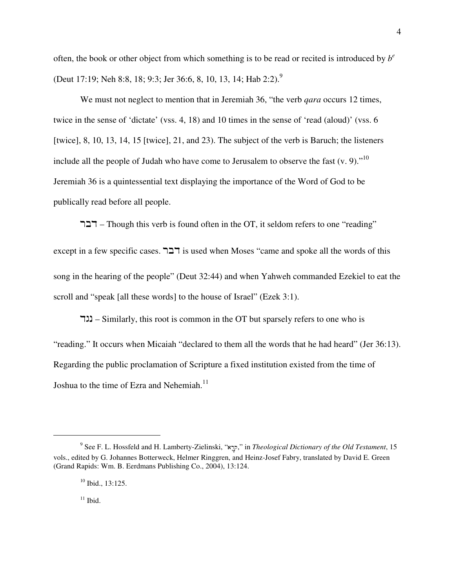often, the book or other object from which something is to be read or recited is introduced by *b e* (Deut 17:19; Neh 8:8, 18; 9:3; Jer 36:6, 8, 10, 13, 14; Hab 2:2).<sup>9</sup>

We must not neglect to mention that in Jeremiah 36, "the verb *qara* occurs 12 times, twice in the sense of 'dictate' (vss. 4, 18) and 10 times in the sense of 'read (aloud)' (vss. 6 [twice], 8, 10, 13, 14, 15 [twice], 21, and 23). The subject of the verb is Baruch; the listeners include all the people of Judah who have come to Jerusalem to observe the fast  $(v, 9)$ ."<sup>10</sup> Jeremiah 36 is a quintessential text displaying the importance of the Word of God to be publically read before all people.

 $T$  $T$ – Though this verb is found often in the OT, it seldom refers to one "reading"

except in a few specific cases.  $\exists \exists \exists$  is used when Moses "came and spoke all the words of this song in the hearing of the people" (Deut 32:44) and when Yahweh commanded Ezekiel to eat the scroll and "speak [all these words] to the house of Israel" (Ezek 3:1).

 $\Box$  – Similarly, this root is common in the OT but sparsely refers to one who is "reading." It occurs when Micaiah "declared to them all the words that he had heard" (Jer 36:13). Regarding the public proclamation of Scripture a fixed institution existed from the time of Joshua to the time of Ezra and Nehemiah.<sup>11</sup>

<sup>9</sup> See F. L. Hossfeld and H. Lamberty-Zielinski, "ar 'q'," in *Theological Dictionary of the Old Testament*, 15 vols., edited by G. Johannes Botterweck, Helmer Ringgren, and Heinz-Josef Fabry, translated by David E. Green (Grand Rapids: Wm. B. Eerdmans Publishing Co., 2004), 13:124.

 $10$  Ibid., 13:125.

 $11$  Ibid.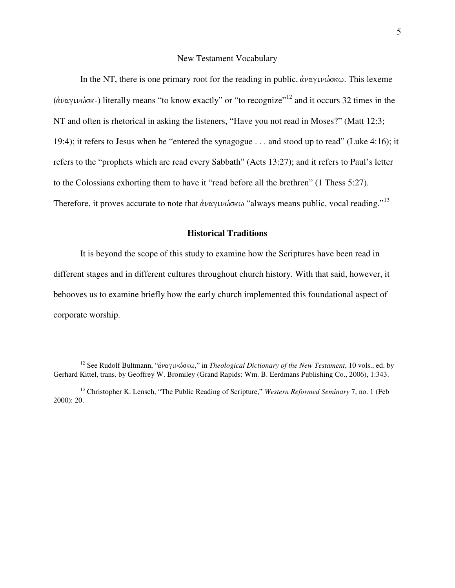#### New Testament Vocabulary

In the NT, there is one primary root for the reading in public,  $\dot{\alpha} \nu \alpha \gamma \nu \omega \sigma \kappa \omega$ . This lexeme (άναγινώσκ-) literally means "to know exactly" or "to recognize"<sup>12</sup> and it occurs 32 times in the NT and often is rhetorical in asking the listeners, "Have you not read in Moses?" (Matt 12:3; 19:4); it refers to Jesus when he "entered the synagogue . . . and stood up to read" (Luke 4:16); it refers to the "prophets which are read every Sabbath" (Acts 13:27); and it refers to Paul's letter to the Colossians exhorting them to have it "read before all the brethren" (1 Thess 5:27). Therefore, it proves accurate to note that  $\dot{\alpha} \nu \alpha \gamma \nu \omega \sigma \kappa \omega$  "always means public, vocal reading."<sup>13</sup>

### **Historical Traditions**

It is beyond the scope of this study to examine how the Scriptures have been read in different stages and in different cultures throughout church history. With that said, however, it behooves us to examine briefly how the early church implemented this foundational aspect of corporate worship.

<sup>&</sup>lt;sup>12</sup> See Rudolf Bultmann, "άναγινώσκω," in *Theological Dictionary of the New Testament*, 10 vols., ed. by Gerhard Kittel, trans. by Geoffrey W. Bromiley (Grand Rapids: Wm. B. Eerdmans Publishing Co., 2006), 1:343.

<sup>&</sup>lt;sup>13</sup> Christopher K. Lensch, "The Public Reading of Scripture," *Western Reformed Seminary* 7, no. 1 (Feb 2000): 20.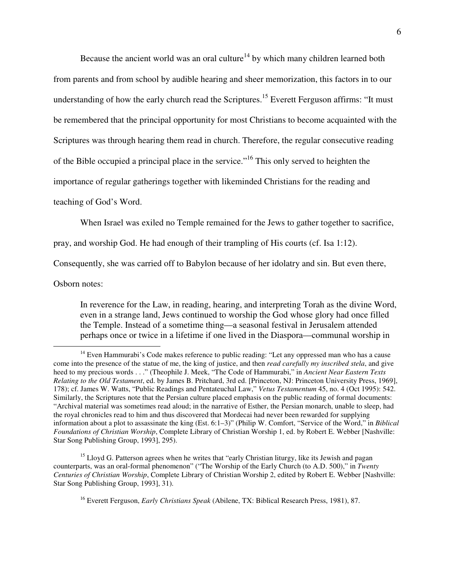Because the ancient world was an oral culture<sup>14</sup> by which many children learned both from parents and from school by audible hearing and sheer memorization, this factors in to our understanding of how the early church read the Scriptures.<sup>15</sup> Everett Ferguson affirms: "It must be remembered that the principal opportunity for most Christians to become acquainted with the Scriptures was through hearing them read in church. Therefore, the regular consecutive reading of the Bible occupied a principal place in the service."<sup>16</sup> This only served to heighten the importance of regular gatherings together with likeminded Christians for the reading and

teaching of God's Word.

When Israel was exiled no Temple remained for the Jews to gather together to sacrifice,

pray, and worship God. He had enough of their trampling of His courts (cf. Isa 1:12).

Consequently, she was carried off to Babylon because of her idolatry and sin. But even there,

Osborn notes:

 $\overline{a}$ 

In reverence for the Law, in reading, hearing, and interpreting Torah as the divine Word, even in a strange land, Jews continued to worship the God whose glory had once filled the Temple. Instead of a sometime thing—a seasonal festival in Jerusalem attended perhaps once or twice in a lifetime if one lived in the Diaspora—communal worship in

<sup>16</sup> Everett Ferguson, *Early Christians Speak* (Abilene, TX: Biblical Research Press, 1981), 87.

<sup>&</sup>lt;sup>14</sup> Even Hammurabi's Code makes reference to public reading: "Let any oppressed man who has a cause come into the presence of the statue of me, the king of justice, and then *read carefully my inscribed stela*, and give heed to my precious words . . ." (Theophile J. Meek, "The Code of Hammurabi," in *Ancient Near Eastern Texts Relating to the Old Testament*, ed. by James B. Pritchard, 3rd ed. [Princeton, NJ: Princeton University Press, 1969], 178); cf. James W. Watts, "Public Readings and Pentateuchal Law," *Vetus Testamentum* 45, no. 4 (Oct 1995): 542. Similarly, the Scriptures note that the Persian culture placed emphasis on the public reading of formal documents: "Archival material was sometimes read aloud; in the narrative of Esther, the Persian monarch, unable to sleep, had the royal chronicles read to him and thus discovered that Mordecai had never been rewarded for supplying information about a plot to assassinate the king (Est. 6:1–3)" (Philip W. Comfort, "Service of the Word," in *Biblical Foundations of Christian Worship*, Complete Library of Christian Worship 1, ed. by Robert E. Webber [Nashville: Star Song Publishing Group, 1993], 295).

<sup>&</sup>lt;sup>15</sup> Lloyd G. Patterson agrees when he writes that "early Christian liturgy, like its Jewish and pagan counterparts, was an oral-formal phenomenon" ("The Worship of the Early Church (to A.D. 500)," in *Twenty Centuries of Christian Worship*, Complete Library of Christian Worship 2, edited by Robert E. Webber [Nashville: Star Song Publishing Group, 1993], 31).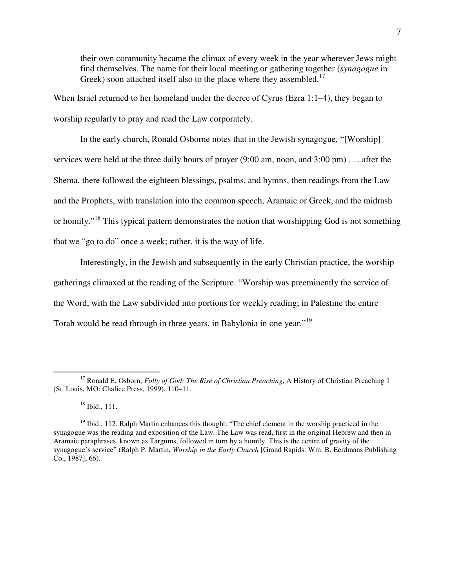their own community became the climax of every week in the year wherever Jews might find themselves. The name for their local meeting or gathering together (*synagogue* in Greek) soon attached itself also to the place where they assembled.<sup>17</sup>

When Israel returned to her homeland under the decree of Cyrus (Ezra 1:1–4), they began to worship regularly to pray and read the Law corporately.

In the early church, Ronald Osborne notes that in the Jewish synagogue, "[Worship] services were held at the three daily hours of prayer (9:00 am, noon, and 3:00 pm) . . . after the Shema, there followed the eighteen blessings, psalms, and hymns, then readings from the Law and the Prophets, with translation into the common speech, Aramaic or Greek, and the midrash or homily."<sup>18</sup> This typical pattern demonstrates the notion that worshipping God is not something that we "go to do" once a week; rather, it is the way of life.

Interestingly, in the Jewish and subsequently in the early Christian practice, the worship gatherings climaxed at the reading of the Scripture. "Worship was preeminently the service of the Word, with the Law subdivided into portions for weekly reading; in Palestine the entire Torah would be read through in three years, in Babylonia in one year."<sup>19</sup>

<sup>17</sup> Ronald E. Osborn, *Folly of God: The Rise of Christian Preaching*, A History of Christian Preaching 1 (St. Louis, MO: Chalice Press, 1999), 110–11.

<sup>18</sup> Ibid., 111.

 $19$  Ibid., 112. Ralph Martin enhances this thought: "The chief element in the worship practiced in the synagogue was the reading and exposition of the Law. The Law was read, first in the original Hebrew and then in Aramaic paraphrases, known as Targums, followed in turn by a homily. This is the centre of gravity of the synagogue's service" (Ralph P. Martin, *Worship in the Early Church* [Grand Rapids: Wm. B. Eerdmans Publishing Co., 1987], 66).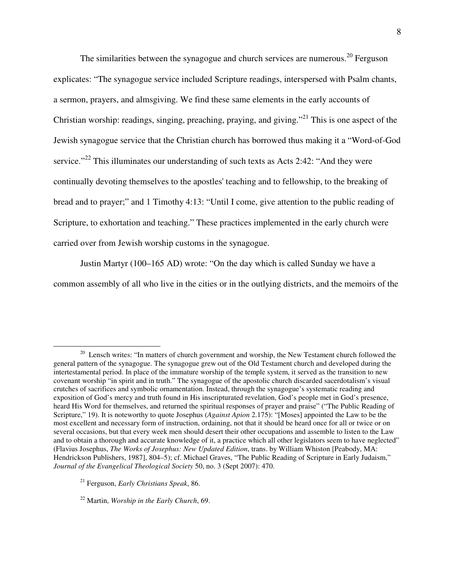The similarities between the synagogue and church services are numerous.<sup>20</sup> Ferguson explicates: "The synagogue service included Scripture readings, interspersed with Psalm chants, a sermon, prayers, and almsgiving. We find these same elements in the early accounts of Christian worship: readings, singing, preaching, praying, and giving."<sup>21</sup> This is one aspect of the Jewish synagogue service that the Christian church has borrowed thus making it a "Word-of-God service."<sup>22</sup> This illuminates our understanding of such texts as Acts 2:42: "And they were continually devoting themselves to the apostles' teaching and to fellowship, to the breaking of bread and to prayer;" and 1 Timothy 4:13: "Until I come, give attention to the public reading of Scripture, to exhortation and teaching." These practices implemented in the early church were carried over from Jewish worship customs in the synagogue.

Justin Martyr (100–165 AD) wrote: "On the day which is called Sunday we have a common assembly of all who live in the cities or in the outlying districts, and the memoirs of the

 $\overline{a}$ <sup>20</sup> Lensch writes: "In matters of church government and worship, the New Testament church followed the general pattern of the synagogue. The synagogue grew out of the Old Testament church and developed during the intertestamental period. In place of the immature worship of the temple system, it served as the transition to new covenant worship "in spirit and in truth." The synagogue of the apostolic church discarded sacerdotalism's visual crutches of sacrifices and symbolic ornamentation. Instead, through the synagogue's systematic reading and exposition of God's mercy and truth found in His inscripturated revelation, God's people met in God's presence, heard His Word for themselves, and returned the spiritual responses of prayer and praise" ("The Public Reading of Scripture," 19). It is noteworthy to quote Josephus (*Against Apion* 2.175): "[Moses] appointed the Law to be the most excellent and necessary form of instruction, ordaining, not that it should be heard once for all or twice or on several occasions, but that every week men should desert their other occupations and assemble to listen to the Law and to obtain a thorough and accurate knowledge of it, a practice which all other legislators seem to have neglected" (Flavius Josephus, *The Works of Josephus: New Updated Edition*, trans. by William Whiston [Peabody, MA: Hendrickson Publishers, 1987], 804–5); cf. Michael Graves, "The Public Reading of Scripture in Early Judaism," *Journal of the Evangelical Theological Society* 50, no. 3 (Sept 2007): 470.

<sup>21</sup> Ferguson, *Early Christians Speak*, 86.

<sup>22</sup> Martin, *Worship in the Early Church*, 69.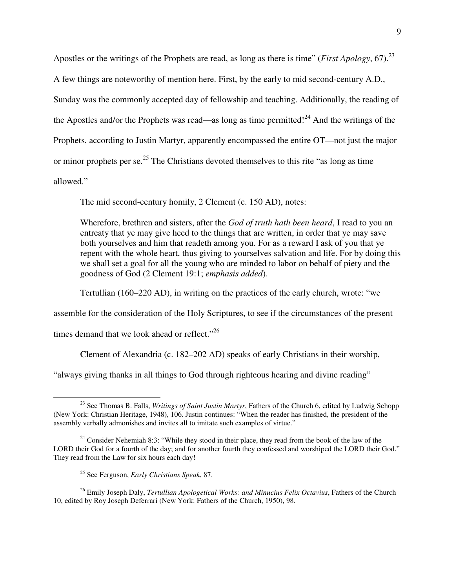Apostles or the writings of the Prophets are read, as long as there is time" (*First Apology*, 67).<sup>23</sup> A few things are noteworthy of mention here. First, by the early to mid second-century A.D., Sunday was the commonly accepted day of fellowship and teaching. Additionally, the reading of the Apostles and/or the Prophets was read—as long as time permitted!<sup>24</sup> And the writings of the Prophets, according to Justin Martyr, apparently encompassed the entire OT—not just the major or minor prophets per se.<sup>25</sup> The Christians devoted themselves to this rite "as long as time" allowed."

The mid second-century homily, 2 Clement (c. 150 AD), notes:

Wherefore, brethren and sisters, after the *God of truth hath been heard*, I read to you an entreaty that ye may give heed to the things that are written, in order that ye may save both yourselves and him that readeth among you. For as a reward I ask of you that ye repent with the whole heart, thus giving to yourselves salvation and life. For by doing this we shall set a goal for all the young who are minded to labor on behalf of piety and the goodness of God (2 Clement 19:1; *emphasis added*).

Tertullian (160–220 AD), in writing on the practices of the early church, wrote: "we

assemble for the consideration of the Holy Scriptures, to see if the circumstances of the present

times demand that we look ahead or reflect."<sup>26</sup>

Clement of Alexandria (c. 182–202 AD) speaks of early Christians in their worship,

"always giving thanks in all things to God through righteous hearing and divine reading"

<sup>26</sup> Emily Joseph Daly, *Tertullian Apologetical Works: and Minucius Felix Octavius*, Fathers of the Church 10, edited by Roy Joseph Deferrari (New York: Fathers of the Church, 1950), 98.

 $\overline{a}$ <sup>23</sup> See Thomas B. Falls, *Writings of Saint Justin Martyr*, Fathers of the Church 6, edited by Ludwig Schopp (New York: Christian Heritage, 1948), 106. Justin continues: "When the reader has finished, the president of the assembly verbally admonishes and invites all to imitate such examples of virtue."

 $24$  Consider Nehemiah 8:3: "While they stood in their place, they read from the book of the law of the LORD their God for a fourth of the day; and for another fourth they confessed and worshiped the LORD their God." They read from the Law for six hours each day!

<sup>25</sup> See Ferguson, *Early Christians Speak*, 87.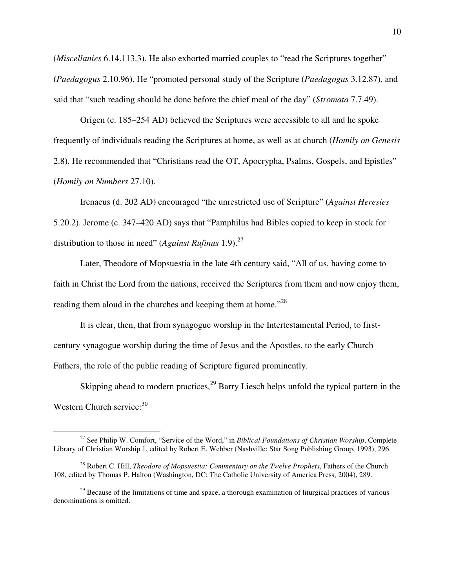(*Miscellanies* 6.14.113.3). He also exhorted married couples to "read the Scriptures together" (*Paedagogus* 2.10.96). He "promoted personal study of the Scripture (*Paedagogus* 3.12.87), and said that "such reading should be done before the chief meal of the day" (*Stromata* 7.7.49).

Origen (c. 185–254 AD) believed the Scriptures were accessible to all and he spoke frequently of individuals reading the Scriptures at home, as well as at church (*Homily on Genesis*  2.8). He recommended that "Christians read the OT, Apocrypha, Psalms, Gospels, and Epistles" (*Homily on Numbers* 27.10).

Irenaeus (d. 202 AD) encouraged "the unrestricted use of Scripture" (*Against Heresies* 5.20.2). Jerome (c. 347–420 AD) says that "Pamphilus had Bibles copied to keep in stock for distribution to those in need" (*Against Rufinus* 1.9).<sup>27</sup>

Later, Theodore of Mopsuestia in the late 4th century said, "All of us, having come to faith in Christ the Lord from the nations, received the Scriptures from them and now enjoy them, reading them aloud in the churches and keeping them at home."<sup>28</sup>

It is clear, then, that from synagogue worship in the Intertestamental Period, to firstcentury synagogue worship during the time of Jesus and the Apostles, to the early Church Fathers, the role of the public reading of Scripture figured prominently.

Skipping ahead to modern practices,<sup>29</sup> Barry Liesch helps unfold the typical pattern in the Western Church service: $30$ 

<sup>27</sup> See Philip W. Comfort, "Service of the Word," in *Biblical Foundations of Christian Worship*, Complete Library of Christian Worship 1, edited by Robert E. Webber (Nashville: Star Song Publishing Group, 1993), 296.

<sup>28</sup> Robert C. Hill, *Theodore of Mopsuestia: Commentary on the Twelve Prophets*, Fathers of the Church 108, edited by Thomas P. Halton (Washington, DC: The Catholic University of America Press, 2004), 289.

<sup>&</sup>lt;sup>29</sup> Because of the limitations of time and space, a thorough examination of liturgical practices of various denominations is omitted.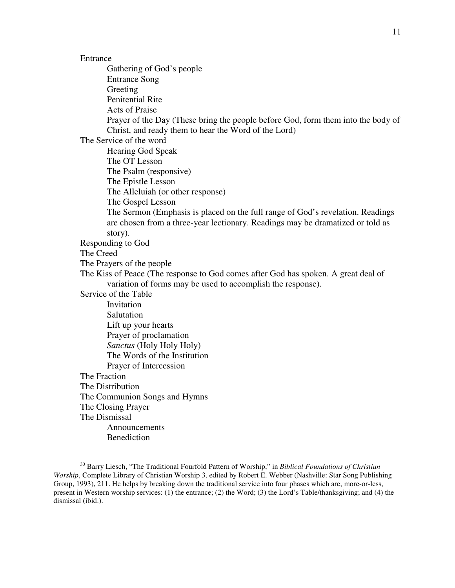$\overline{a}$ 

 Gathering of God's people Entrance Song Greeting Penitential Rite Acts of Praise Prayer of the Day (These bring the people before God, form them into the body of Christ, and ready them to hear the Word of the Lord) The Service of the word Hearing God Speak The OT Lesson The Psalm (responsive) The Epistle Lesson The Alleluiah (or other response) The Gospel Lesson The Sermon (Emphasis is placed on the full range of God's revelation. Readings are chosen from a three-year lectionary. Readings may be dramatized or told as story). Responding to God The Creed The Prayers of the people The Kiss of Peace (The response to God comes after God has spoken. A great deal of variation of forms may be used to accomplish the response). Service of the Table Invitation Salutation Lift up your hearts Prayer of proclamation *Sanctus* (Holy Holy Holy) The Words of the Institution Prayer of Intercession The Fraction The Distribution The Communion Songs and Hymns The Closing Prayer The Dismissal Announcements Benediction

<sup>30</sup> Barry Liesch, "The Traditional Fourfold Pattern of Worship," in *Biblical Foundations of Christian Worship*, Complete Library of Christian Worship 3, edited by Robert E. Webber (Nashville: Star Song Publishing Group, 1993), 211. He helps by breaking down the traditional service into four phases which are, more-or-less, present in Western worship services: (1) the entrance; (2) the Word; (3) the Lord's Table/thanksgiving; and (4) the dismissal (ibid.).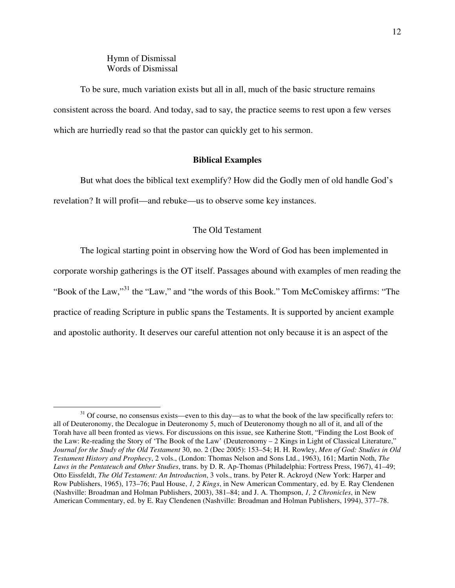### Hymn of Dismissal Words of Dismissal

 $\overline{a}$ 

To be sure, much variation exists but all in all, much of the basic structure remains consistent across the board. And today, sad to say, the practice seems to rest upon a few verses which are hurriedly read so that the pastor can quickly get to his sermon.

#### **Biblical Examples**

But what does the biblical text exemplify? How did the Godly men of old handle God's revelation? It will profit—and rebuke—us to observe some key instances.

#### The Old Testament

The logical starting point in observing how the Word of God has been implemented in corporate worship gatherings is the OT itself. Passages abound with examples of men reading the "Book of the Law,"<sup>31</sup> the "Law," and "the words of this Book." Tom McComiskey affirms: "The practice of reading Scripture in public spans the Testaments. It is supported by ancient example and apostolic authority. It deserves our careful attention not only because it is an aspect of the

<sup>&</sup>lt;sup>31</sup> Of course, no consensus exists—even to this day—as to what the book of the law specifically refers to: all of Deuteronomy, the Decalogue in Deuteronomy 5, much of Deuteronomy though no all of it, and all of the Torah have all been fronted as views. For discussions on this issue, see Katherine Stott, "Finding the Lost Book of the Law: Re-reading the Story of 'The Book of the Law' (Deuteronomy – 2 Kings in Light of Classical Literature," *Journal for the Study of the Old Testament* 30, no. 2 (Dec 2005): 153–54; H. H. Rowley, *Men of God: Studies in Old Testament History and Prophecy*, 2 vols., (London: Thomas Nelson and Sons Ltd., 1963), 161; Martin Noth, *The Laws in the Pentateuch and Other Studies*, trans. by D. R. Ap-Thomas (Philadelphia: Fortress Press, 1967), 41–49; Otto Eissfeldt, *The Old Testament: An Introduction*, 3 vols., trans. by Peter R. Ackroyd (New York: Harper and Row Publishers, 1965), 173–76; Paul House, *1, 2 Kings*, in New American Commentary, ed. by E. Ray Clendenen (Nashville: Broadman and Holman Publishers, 2003), 381–84; and J. A. Thompson, *1, 2 Chronicles*, in New American Commentary, ed. by E. Ray Clendenen (Nashville: Broadman and Holman Publishers, 1994), 377–78.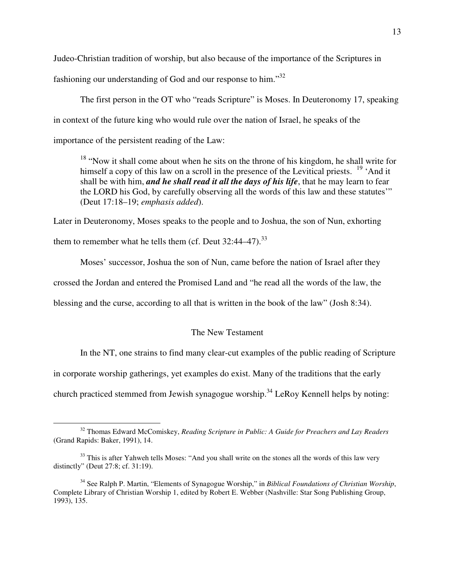Judeo-Christian tradition of worship, but also because of the importance of the Scriptures in

fashioning our understanding of God and our response to him."<sup>32</sup>

The first person in the OT who "reads Scripture" is Moses. In Deuteronomy 17, speaking in context of the future king who would rule over the nation of Israel, he speaks of the importance of the persistent reading of the Law:

<sup>18</sup> "Now it shall come about when he sits on the throne of his kingdom, he shall write for himself a copy of this law on a scroll in the presence of the Levitical priests.  $19^\circ$  'And it shall be with him, *and he shall read it all the days of his life*, that he may learn to fear the LORD his God, by carefully observing all the words of this law and these statutes'" (Deut 17:18–19; *emphasis added*).

Later in Deuteronomy, Moses speaks to the people and to Joshua, the son of Nun, exhorting them to remember what he tells them (cf. Deut  $32:44-47$ ).<sup>33</sup>

Moses' successor, Joshua the son of Nun, came before the nation of Israel after they

crossed the Jordan and entered the Promised Land and "he read all the words of the law, the

blessing and the curse, according to all that is written in the book of the law" (Josh 8:34).

### The New Testament

In the NT, one strains to find many clear-cut examples of the public reading of Scripture

in corporate worship gatherings, yet examples do exist. Many of the traditions that the early

church practiced stemmed from Jewish synagogue worship.<sup>34</sup> LeRoy Kennell helps by noting:

<sup>32</sup> Thomas Edward McComiskey, *Reading Scripture in Public: A Guide for Preachers and Lay Readers* (Grand Rapids: Baker, 1991), 14.

 $33$  This is after Yahweh tells Moses: "And you shall write on the stones all the words of this law very distinctly" (Deut 27:8; cf. 31:19).

<sup>34</sup> See Ralph P. Martin, "Elements of Synagogue Worship," in *Biblical Foundations of Christian Worship*, Complete Library of Christian Worship 1, edited by Robert E. Webber (Nashville: Star Song Publishing Group, 1993), 135.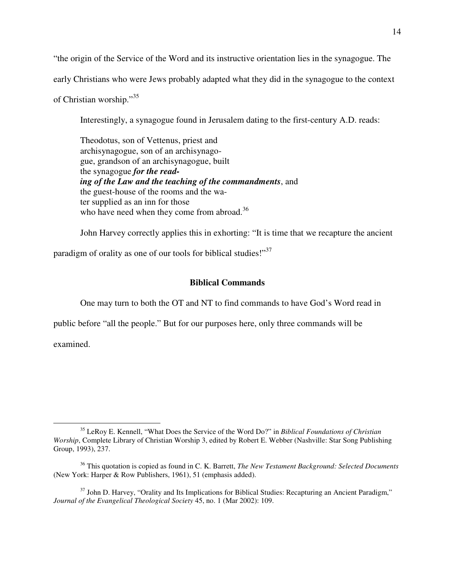"the origin of the Service of the Word and its instructive orientation lies in the synagogue. The

early Christians who were Jews probably adapted what they did in the synagogue to the context

of Christian worship."<sup>35</sup>

Interestingly, a synagogue found in Jerusalem dating to the first-century A.D. reads:

Theodotus, son of Vettenus, priest and archisynagogue, son of an archisynagogue, grandson of an archisynagogue, built the synagogue *for the reading of the Law and the teaching of the commandments*, and the guest-house of the rooms and the water supplied as an inn for those who have need when they come from abroad.<sup>36</sup>

John Harvey correctly applies this in exhorting: "It is time that we recapture the ancient

paradigm of orality as one of our tools for biblical studies!" $37$ 

### **Biblical Commands**

One may turn to both the OT and NT to find commands to have God's Word read in

public before "all the people." But for our purposes here, only three commands will be

examined.

 $\overline{a}$ 

<sup>37</sup> John D. Harvey, "Orality and Its Implications for Biblical Studies: Recapturing an Ancient Paradigm," *Journal of the Evangelical Theological Society* 45, no. 1 (Mar 2002): 109.

<sup>35</sup> LeRoy E. Kennell, "What Does the Service of the Word Do?" in *Biblical Foundations of Christian Worship*, Complete Library of Christian Worship 3, edited by Robert E. Webber (Nashville: Star Song Publishing Group, 1993), 237.

<sup>36</sup> This quotation is copied as found in C. K. Barrett, *The New Testament Background: Selected Documents* (New York: Harper & Row Publishers, 1961), 51 (emphasis added).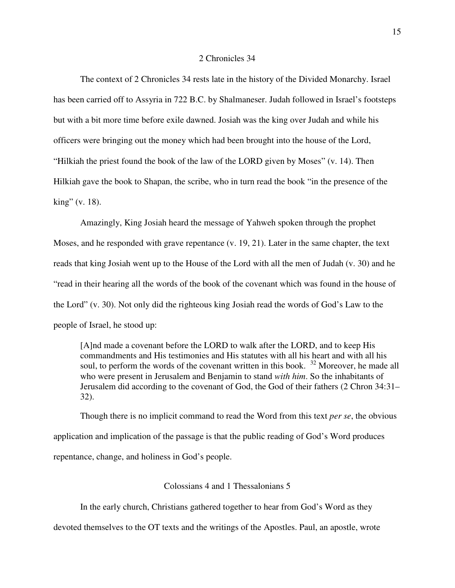#### 2 Chronicles 34

The context of 2 Chronicles 34 rests late in the history of the Divided Monarchy. Israel has been carried off to Assyria in 722 B.C. by Shalmaneser. Judah followed in Israel's footsteps but with a bit more time before exile dawned. Josiah was the king over Judah and while his officers were bringing out the money which had been brought into the house of the Lord, "Hilkiah the priest found the book of the law of the LORD given by Moses" (v. 14). Then Hilkiah gave the book to Shapan, the scribe, who in turn read the book "in the presence of the king" (v. 18).

Amazingly, King Josiah heard the message of Yahweh spoken through the prophet Moses, and he responded with grave repentance (v. 19, 21). Later in the same chapter, the text reads that king Josiah went up to the House of the Lord with all the men of Judah (v. 30) and he "read in their hearing all the words of the book of the covenant which was found in the house of the Lord" (v. 30). Not only did the righteous king Josiah read the words of God's Law to the people of Israel, he stood up:

[A]nd made a covenant before the LORD to walk after the LORD, and to keep His commandments and His testimonies and His statutes with all his heart and with all his soul, to perform the words of the covenant written in this book. <sup>32</sup> Moreover, he made all who were present in Jerusalem and Benjamin to stand *with him*. So the inhabitants of Jerusalem did according to the covenant of God, the God of their fathers (2 Chron 34:31– 32).

Though there is no implicit command to read the Word from this text *per se*, the obvious application and implication of the passage is that the public reading of God's Word produces repentance, change, and holiness in God's people.

Colossians 4 and 1 Thessalonians 5

In the early church, Christians gathered together to hear from God's Word as they

devoted themselves to the OT texts and the writings of the Apostles. Paul, an apostle, wrote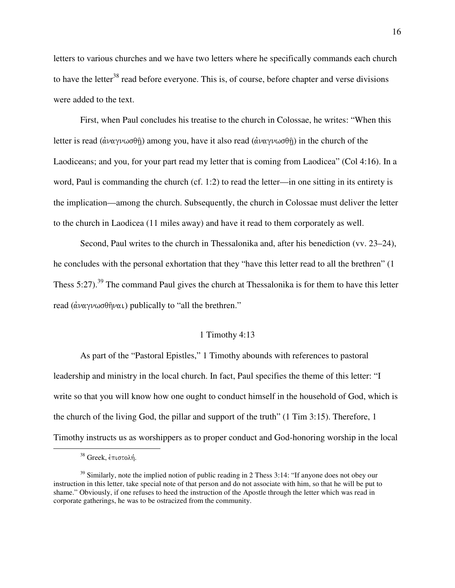letters to various churches and we have two letters where he specifically commands each church to have the letter<sup>38</sup> read before everyone. This is, of course, before chapter and verse divisions were added to the text.

First, when Paul concludes his treatise to the church in Colossae, he writes: "When this letter is read ( $\hat{\alpha}$ ναγνωσθῆ) among you, have it also read ( $\hat{\alpha}$ ναγνωσθῆ) in the church of the Laodiceans; and you, for your part read my letter that is coming from Laodicea" (Col 4:16). In a word, Paul is commanding the church (cf. 1:2) to read the letter—in one sitting in its entirety is the implication—among the church. Subsequently, the church in Colossae must deliver the letter to the church in Laodicea (11 miles away) and have it read to them corporately as well.

Second, Paul writes to the church in Thessalonika and, after his benediction (vv. 23–24), he concludes with the personal exhortation that they "have this letter read to all the brethren" (1 Thess 5:27).<sup>39</sup> The command Paul gives the church at Thessalonika is for them to have this letter read  $(\hat{\alpha} \nu \alpha \gamma \nu \omega \sigma \theta \hat{\eta} \nu \alpha \iota)$  publically to "all the brethren."

#### 1 Timothy 4:13

As part of the "Pastoral Epistles," 1 Timothy abounds with references to pastoral leadership and ministry in the local church. In fact, Paul specifies the theme of this letter: "I write so that you will know how one ought to conduct himself in the household of God, which is the church of the living God, the pillar and support of the truth" (1 Tim 3:15). Therefore, 1 Timothy instructs us as worshippers as to proper conduct and God-honoring worship in the local

 $38$  Greek, έπιστολή.

<sup>&</sup>lt;sup>39</sup> Similarly, note the implied notion of public reading in 2 Thess 3:14: "If anyone does not obey our instruction in this letter, take special note of that person and do not associate with him, so that he will be put to shame." Obviously, if one refuses to heed the instruction of the Apostle through the letter which was read in corporate gatherings, he was to be ostracized from the community.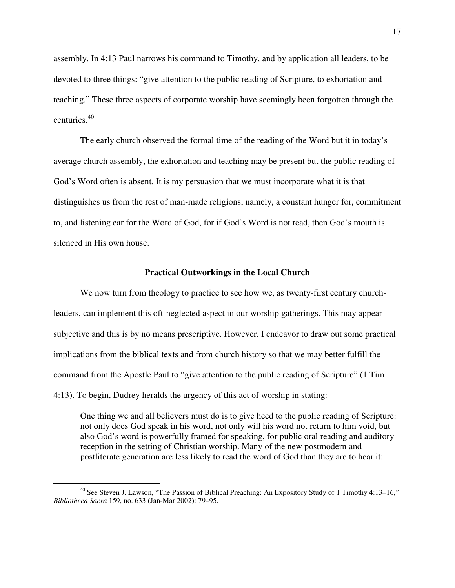assembly. In 4:13 Paul narrows his command to Timothy, and by application all leaders, to be devoted to three things: "give attention to the public reading of Scripture, to exhortation and teaching." These three aspects of corporate worship have seemingly been forgotten through the centuries.<sup>40</sup>

The early church observed the formal time of the reading of the Word but it in today's average church assembly, the exhortation and teaching may be present but the public reading of God's Word often is absent. It is my persuasion that we must incorporate what it is that distinguishes us from the rest of man-made religions, namely, a constant hunger for, commitment to, and listening ear for the Word of God, for if God's Word is not read, then God's mouth is silenced in His own house.

#### **Practical Outworkings in the Local Church**

We now turn from theology to practice to see how we, as twenty-first century churchleaders, can implement this oft-neglected aspect in our worship gatherings. This may appear subjective and this is by no means prescriptive. However, I endeavor to draw out some practical implications from the biblical texts and from church history so that we may better fulfill the command from the Apostle Paul to "give attention to the public reading of Scripture" (1 Tim 4:13). To begin, Dudrey heralds the urgency of this act of worship in stating:

One thing we and all believers must do is to give heed to the public reading of Scripture: not only does God speak in his word, not only will his word not return to him void, but also God's word is powerfully framed for speaking, for public oral reading and auditory reception in the setting of Christian worship. Many of the new postmodern and postliterate generation are less likely to read the word of God than they are to hear it:

<sup>&</sup>lt;sup>40</sup> See Steven J. Lawson, "The Passion of Biblical Preaching: An Expository Study of 1 Timothy 4:13–16," *Bibliotheca Sacra* 159, no. 633 (Jan-Mar 2002): 79–95.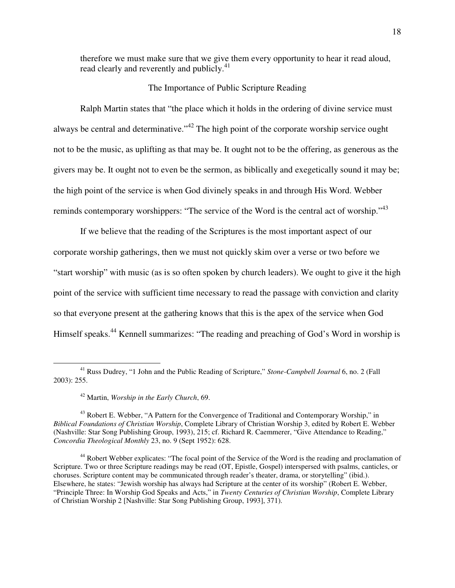therefore we must make sure that we give them every opportunity to hear it read aloud, read clearly and reverently and publicly.<sup>41</sup>

#### The Importance of Public Scripture Reading

Ralph Martin states that "the place which it holds in the ordering of divine service must always be central and determinative."<sup>42</sup> The high point of the corporate worship service ought not to be the music, as uplifting as that may be. It ought not to be the offering, as generous as the givers may be. It ought not to even be the sermon, as biblically and exegetically sound it may be; the high point of the service is when God divinely speaks in and through His Word. Webber reminds contemporary worshippers: "The service of the Word is the central act of worship."<sup>43</sup>

If we believe that the reading of the Scriptures is the most important aspect of our corporate worship gatherings, then we must not quickly skim over a verse or two before we "start worship" with music (as is so often spoken by church leaders). We ought to give it the high point of the service with sufficient time necessary to read the passage with conviction and clarity so that everyone present at the gathering knows that this is the apex of the service when God Himself speaks.<sup>44</sup> Kennell summarizes: "The reading and preaching of God's Word in worship is

<sup>41</sup> Russ Dudrey, "1 John and the Public Reading of Scripture," *Stone-Campbell Journal* 6, no. 2 (Fall 2003): 255.

<sup>42</sup> Martin, *Worship in the Early Church*, 69.

<sup>&</sup>lt;sup>43</sup> Robert E. Webber, "A Pattern for the Convergence of Traditional and Contemporary Worship," in *Biblical Foundations of Christian Worship*, Complete Library of Christian Worship 3, edited by Robert E. Webber (Nashville: Star Song Publishing Group, 1993), 215; cf. Richard R. Caemmerer, "Give Attendance to Reading," *Concordia Theological Monthly* 23, no. 9 (Sept 1952): 628.

<sup>44</sup> Robert Webber explicates: "The focal point of the Service of the Word is the reading and proclamation of Scripture. Two or three Scripture readings may be read (OT, Epistle, Gospel) interspersed with psalms, canticles, or choruses. Scripture content may be communicated through reader's theater, drama, or storytelling" (ibid.). Elsewhere, he states: "Jewish worship has always had Scripture at the center of its worship" (Robert E. Webber, "Principle Three: In Worship God Speaks and Acts," in *Twenty Centuries of Christian Worship*, Complete Library of Christian Worship 2 [Nashville: Star Song Publishing Group, 1993], 371).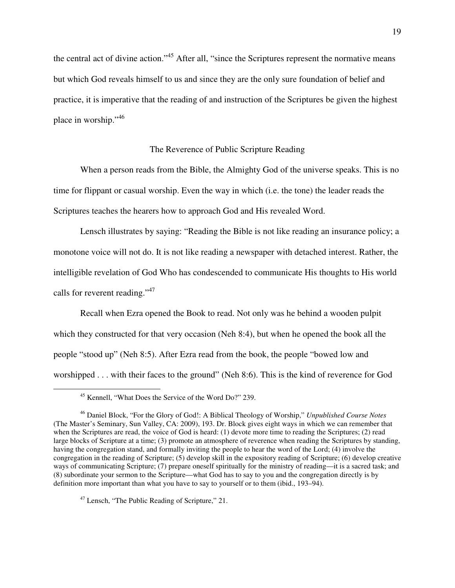the central act of divine action."<sup>45</sup> After all, "since the Scriptures represent the normative means but which God reveals himself to us and since they are the only sure foundation of belief and practice, it is imperative that the reading of and instruction of the Scriptures be given the highest place in worship."<sup>46</sup>

#### The Reverence of Public Scripture Reading

When a person reads from the Bible, the Almighty God of the universe speaks. This is no time for flippant or casual worship. Even the way in which (i.e. the tone) the leader reads the Scriptures teaches the hearers how to approach God and His revealed Word.

Lensch illustrates by saying: "Reading the Bible is not like reading an insurance policy; a monotone voice will not do. It is not like reading a newspaper with detached interest. Rather, the intelligible revelation of God Who has condescended to communicate His thoughts to His world calls for reverent reading."<sup>47</sup>

Recall when Ezra opened the Book to read. Not only was he behind a wooden pulpit which they constructed for that very occasion (Neh 8:4), but when he opened the book all the people "stood up" (Neh 8:5). After Ezra read from the book, the people "bowed low and worshipped . . . with their faces to the ground" (Neh 8:6). This is the kind of reverence for God

<sup>45</sup> Kennell, "What Does the Service of the Word Do?" 239.

<sup>46</sup> Daniel Block, "For the Glory of God!: A Biblical Theology of Worship," *Unpublished Course Notes* (The Master's Seminary, Sun Valley, CA: 2009), 193. Dr. Block gives eight ways in which we can remember that when the Scriptures are read, the voice of God is heard: (1) devote more time to reading the Scriptures; (2) read large blocks of Scripture at a time; (3) promote an atmosphere of reverence when reading the Scriptures by standing, having the congregation stand, and formally inviting the people to hear the word of the Lord; (4) involve the congregation in the reading of Scripture; (5) develop skill in the expository reading of Scripture; (6) develop creative ways of communicating Scripture; (7) prepare oneself spiritually for the ministry of reading—it is a sacred task; and (8) subordinate your sermon to the Scripture—what God has to say to you and the congregation directly is by definition more important than what you have to say to yourself or to them (ibid., 193–94).

<sup>47</sup> Lensch, "The Public Reading of Scripture," 21.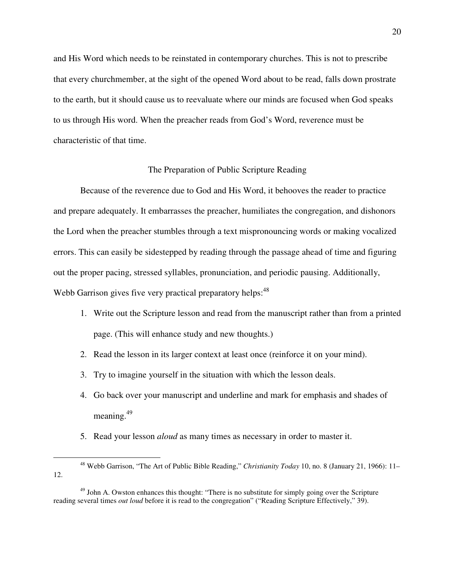and His Word which needs to be reinstated in contemporary churches. This is not to prescribe that every churchmember, at the sight of the opened Word about to be read, falls down prostrate to the earth, but it should cause us to reevaluate where our minds are focused when God speaks to us through His word. When the preacher reads from God's Word, reverence must be characteristic of that time.

#### The Preparation of Public Scripture Reading

Because of the reverence due to God and His Word, it behooves the reader to practice and prepare adequately. It embarrasses the preacher, humiliates the congregation, and dishonors the Lord when the preacher stumbles through a text mispronouncing words or making vocalized errors. This can easily be sidestepped by reading through the passage ahead of time and figuring out the proper pacing, stressed syllables, pronunciation, and periodic pausing. Additionally, Webb Garrison gives five very practical preparatory helps:<sup>48</sup>

- 1. Write out the Scripture lesson and read from the manuscript rather than from a printed page. (This will enhance study and new thoughts.)
- 2. Read the lesson in its larger context at least once (reinforce it on your mind).
- 3. Try to imagine yourself in the situation with which the lesson deals.
- 4. Go back over your manuscript and underline and mark for emphasis and shades of meaning.<sup>49</sup>
- 5. Read your lesson *aloud* as many times as necessary in order to master it.

<sup>48</sup> Webb Garrison, "The Art of Public Bible Reading," *Christianity Today* 10, no. 8 (January 21, 1966): 11– 12.

 $49$  John A. Owston enhances this thought: "There is no substitute for simply going over the Scripture reading several times *out loud* before it is read to the congregation" ("Reading Scripture Effectively," 39).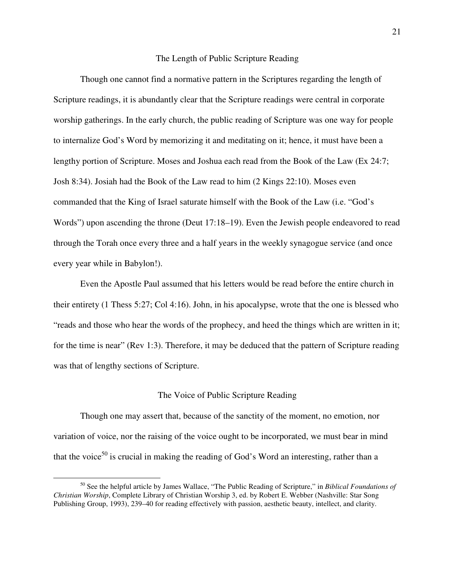#### The Length of Public Scripture Reading

Though one cannot find a normative pattern in the Scriptures regarding the length of Scripture readings, it is abundantly clear that the Scripture readings were central in corporate worship gatherings. In the early church, the public reading of Scripture was one way for people to internalize God's Word by memorizing it and meditating on it; hence, it must have been a lengthy portion of Scripture. Moses and Joshua each read from the Book of the Law (Ex 24:7; Josh 8:34). Josiah had the Book of the Law read to him (2 Kings 22:10). Moses even commanded that the King of Israel saturate himself with the Book of the Law (i.e. "God's Words") upon ascending the throne (Deut 17:18–19). Even the Jewish people endeavored to read through the Torah once every three and a half years in the weekly synagogue service (and once every year while in Babylon!).

Even the Apostle Paul assumed that his letters would be read before the entire church in their entirety (1 Thess 5:27; Col 4:16). John, in his apocalypse, wrote that the one is blessed who "reads and those who hear the words of the prophecy, and heed the things which are written in it; for the time is near" (Rev 1:3). Therefore, it may be deduced that the pattern of Scripture reading was that of lengthy sections of Scripture.

#### The Voice of Public Scripture Reading

Though one may assert that, because of the sanctity of the moment, no emotion, nor variation of voice, nor the raising of the voice ought to be incorporated, we must bear in mind that the voice<sup>50</sup> is crucial in making the reading of God's Word an interesting, rather than a

<sup>50</sup> See the helpful article by James Wallace, "The Public Reading of Scripture," in *Biblical Foundations of Christian Worship*, Complete Library of Christian Worship 3, ed. by Robert E. Webber (Nashville: Star Song Publishing Group, 1993), 239–40 for reading effectively with passion, aesthetic beauty, intellect, and clarity.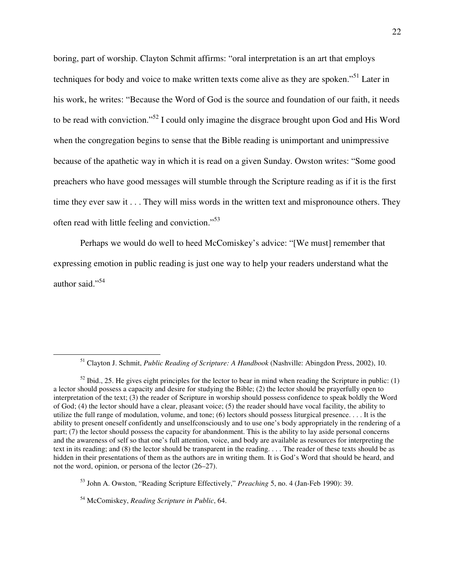boring, part of worship. Clayton Schmit affirms: "oral interpretation is an art that employs techniques for body and voice to make written texts come alive as they are spoken."<sup>51</sup> Later in his work, he writes: "Because the Word of God is the source and foundation of our faith, it needs to be read with conviction."<sup>52</sup> I could only imagine the disgrace brought upon God and His Word when the congregation begins to sense that the Bible reading is unimportant and unimpressive because of the apathetic way in which it is read on a given Sunday. Owston writes: "Some good preachers who have good messages will stumble through the Scripture reading as if it is the first time they ever saw it . . . They will miss words in the written text and mispronounce others. They often read with little feeling and conviction."<sup>53</sup>

Perhaps we would do well to heed McComiskey's advice: "[We must] remember that expressing emotion in public reading is just one way to help your readers understand what the author said."<sup>54</sup>

<sup>51</sup> Clayton J. Schmit, *Public Reading of Scripture: A Handbook* (Nashville: Abingdon Press, 2002), 10.

 $52$  Ibid., 25. He gives eight principles for the lector to bear in mind when reading the Scripture in public: (1) a lector should possess a capacity and desire for studying the Bible; (2) the lector should be prayerfully open to interpretation of the text; (3) the reader of Scripture in worship should possess confidence to speak boldly the Word of God; (4) the lector should have a clear, pleasant voice; (5) the reader should have vocal facility, the ability to utilize the full range of modulation, volume, and tone; (6) lectors should possess liturgical presence. . . . It is the ability to present oneself confidently and unselfconsciously and to use one's body appropriately in the rendering of a part; (7) the lector should possess the capacity for abandonment. This is the ability to lay aside personal concerns and the awareness of self so that one's full attention, voice, and body are available as resources for interpreting the text in its reading; and (8) the lector should be transparent in the reading. . . . The reader of these texts should be as hidden in their presentations of them as the authors are in writing them. It is God's Word that should be heard, and not the word, opinion, or persona of the lector (26–27).

<sup>53</sup> John A. Owston, "Reading Scripture Effectively," *Preaching* 5, no. 4 (Jan-Feb 1990): 39.

<sup>54</sup> McComiskey, *Reading Scripture in Public*, 64.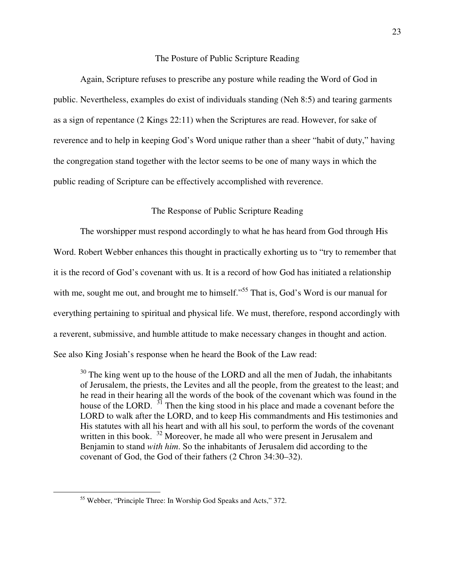#### The Posture of Public Scripture Reading

Again, Scripture refuses to prescribe any posture while reading the Word of God in public. Nevertheless, examples do exist of individuals standing (Neh 8:5) and tearing garments as a sign of repentance (2 Kings 22:11) when the Scriptures are read. However, for sake of reverence and to help in keeping God's Word unique rather than a sheer "habit of duty," having the congregation stand together with the lector seems to be one of many ways in which the public reading of Scripture can be effectively accomplished with reverence.

#### The Response of Public Scripture Reading

The worshipper must respond accordingly to what he has heard from God through His Word. Robert Webber enhances this thought in practically exhorting us to "try to remember that it is the record of God's covenant with us. It is a record of how God has initiated a relationship with me, sought me out, and brought me to himself."<sup>55</sup> That is, God's Word is our manual for everything pertaining to spiritual and physical life. We must, therefore, respond accordingly with a reverent, submissive, and humble attitude to make necessary changes in thought and action. See also King Josiah's response when he heard the Book of the Law read:

 $30$  The king went up to the house of the LORD and all the men of Judah, the inhabitants of Jerusalem, the priests, the Levites and all the people, from the greatest to the least; and he read in their hearing all the words of the book of the covenant which was found in the house of the LORD. <sup>31</sup> Then the king stood in his place and made a covenant before the LORD to walk after the LORD, and to keep His commandments and His testimonies and His statutes with all his heart and with all his soul, to perform the words of the covenant written in this book. <sup>32</sup> Moreover, he made all who were present in Jerusalem and Benjamin to stand *with him*. So the inhabitants of Jerusalem did according to the covenant of God, the God of their fathers (2 Chron 34:30–32).

<sup>55</sup> Webber, "Principle Three: In Worship God Speaks and Acts," 372.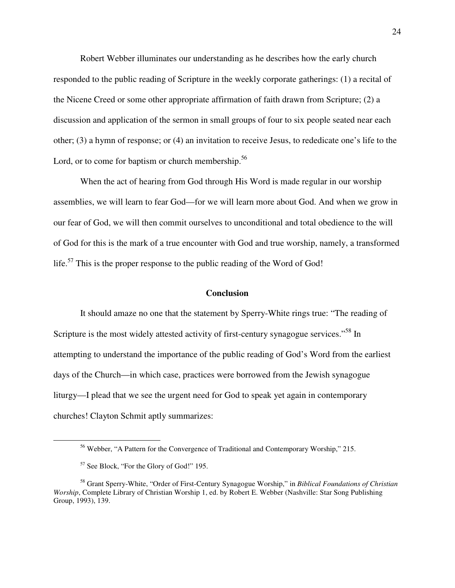Robert Webber illuminates our understanding as he describes how the early church responded to the public reading of Scripture in the weekly corporate gatherings: (1) a recital of the Nicene Creed or some other appropriate affirmation of faith drawn from Scripture; (2) a discussion and application of the sermon in small groups of four to six people seated near each other; (3) a hymn of response; or (4) an invitation to receive Jesus, to rededicate one's life to the Lord, or to come for baptism or church membership. $56$ 

When the act of hearing from God through His Word is made regular in our worship assemblies, we will learn to fear God—for we will learn more about God. And when we grow in our fear of God, we will then commit ourselves to unconditional and total obedience to the will of God for this is the mark of a true encounter with God and true worship, namely, a transformed life.<sup>57</sup> This is the proper response to the public reading of the Word of God!

#### **Conclusion**

It should amaze no one that the statement by Sperry-White rings true: "The reading of Scripture is the most widely attested activity of first-century synagogue services."<sup>58</sup> In attempting to understand the importance of the public reading of God's Word from the earliest days of the Church—in which case, practices were borrowed from the Jewish synagogue liturgy—I plead that we see the urgent need for God to speak yet again in contemporary churches! Clayton Schmit aptly summarizes:

<sup>&</sup>lt;sup>56</sup> Webber, "A Pattern for the Convergence of Traditional and Contemporary Worship," 215.

<sup>57</sup> See Block, "For the Glory of God!" 195.

<sup>58</sup> Grant Sperry-White, "Order of First-Century Synagogue Worship," in *Biblical Foundations of Christian Worship*, Complete Library of Christian Worship 1, ed. by Robert E. Webber (Nashville: Star Song Publishing Group, 1993), 139.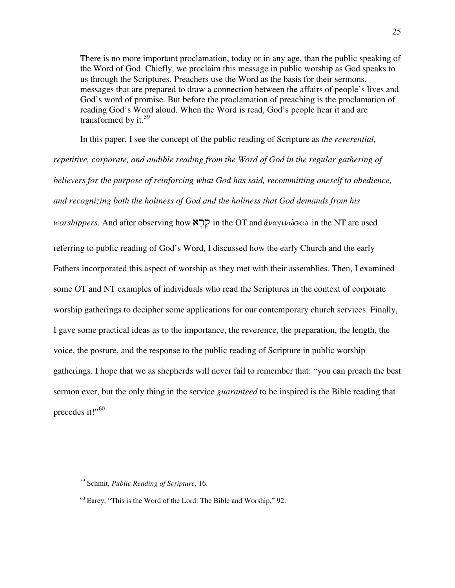There is no more important proclamation, today or in any age, than the public speaking of the Word of God. Chiefly, we proclaim this message in public worship as God speaks to us through the Scriptures. Preachers use the Word as the basis for their sermons, messages that are prepared to draw a connection between the affairs of people's lives and God's word of promise. But before the proclamation of preaching is the proclamation of reading God's Word aloud. When the Word is read, God's people hear it and are transformed by it. $59$ 

In this paper, I see the concept of the public reading of Scripture as *the reverential,* 

*repetitive, corporate, and audible reading from the Word of God in the regular gathering of believers for the purpose of reinforcing what God has said, recommitting oneself to obedience, and recognizing both the holiness of God and the holiness that God demands from his worshippers*. And after observing how **N**<sub>1</sub> and αναγινώσκω in the NT are used referring to public reading of God's Word, I discussed how the early Church and the early Fathers incorporated this aspect of worship as they met with their assemblies. Then, I examined some OT and NT examples of individuals who read the Scriptures in the context of corporate worship gatherings to decipher some applications for our contemporary church services. Finally, I gave some practical ideas as to the importance, the reverence, the preparation, the length, the voice, the posture, and the response to the public reading of Scripture in public worship gatherings. I hope that we as shepherds will never fail to remember that: "you can preach the best sermon ever, but the only thing in the service *guaranteed* to be inspired is the Bible reading that precedes it!"<sup>60</sup>

<sup>59</sup> Schmit, *Public Reading of Scripture*, 16.

 $60$  Earey, "This is the Word of the Lord: The Bible and Worship," 92.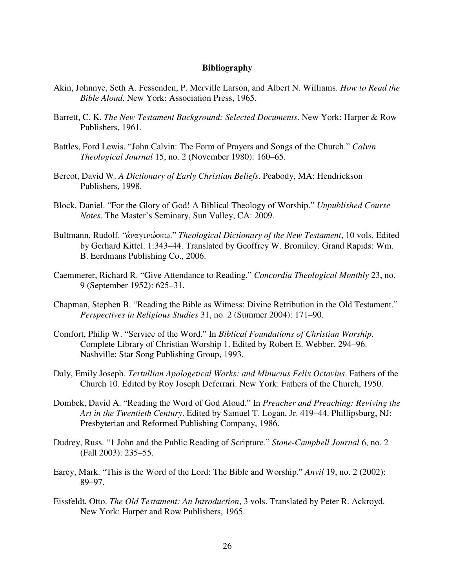#### **Bibliography**

- Akin, Johnnye, Seth A. Fessenden, P. Merville Larson, and Albert N. Williams. *How to Read the Bible Aloud*. New York: Association Press, 1965.
- Barrett, C. K. *The New Testament Background: Selected Documents*. New York: Harper & Row Publishers, 1961.
- Battles, Ford Lewis. "John Calvin: The Form of Prayers and Songs of the Church." *Calvin Theological Journal* 15, no. 2 (November 1980): 160–65.
- Bercot, David W. *A Dictionary of Early Christian Beliefs*. Peabody, MA: Hendrickson Publishers, 1998.
- Block, Daniel. "For the Glory of God! A Biblical Theology of Worship." *Unpublished Course Notes*. The Master's Seminary, Sun Valley, CA: 2009.
- Bultmann, Rudolf. "άναγινώσκω." *Theological Dictionary of the New Testament*, 10 vols. Edited by Gerhard Kittel. 1:343–44. Translated by Geoffrey W. Bromiley. Grand Rapids: Wm. B. Eerdmans Publishing Co., 2006.
- Caemmerer, Richard R. "Give Attendance to Reading." *Concordia Theological Monthly* 23, no. 9 (September 1952): 625–31.
- Chapman, Stephen B. "Reading the Bible as Witness: Divine Retribution in the Old Testament." *Perspectives in Religious Studies* 31, no. 2 (Summer 2004): 171–90.
- Comfort, Philip W. "Service of the Word." In *Biblical Foundations of Christian Worship*. Complete Library of Christian Worship 1. Edited by Robert E. Webber. 294–96. Nashville: Star Song Publishing Group, 1993.
- Daly, Emily Joseph. *Tertullian Apologetical Works: and Minucius Felix Octavius*. Fathers of the Church 10. Edited by Roy Joseph Deferrari. New York: Fathers of the Church, 1950.
- Dombek, David A. "Reading the Word of God Aloud." In *Preacher and Preaching: Reviving the Art in the Twentieth Century*. Edited by Samuel T. Logan, Jr. 419–44. Phillipsburg, NJ: Presbyterian and Reformed Publishing Company, 1986.
- Dudrey, Russ. "1 John and the Public Reading of Scripture." *Stone-Campbell Journal* 6, no. 2 (Fall 2003): 235–55.
- Earey, Mark. "This is the Word of the Lord: The Bible and Worship." *Anvil* 19, no. 2 (2002): 89–97.
- Eissfeldt, Otto. *The Old Testament: An Introduction*, 3 vols. Translated by Peter R. Ackroyd. New York: Harper and Row Publishers, 1965.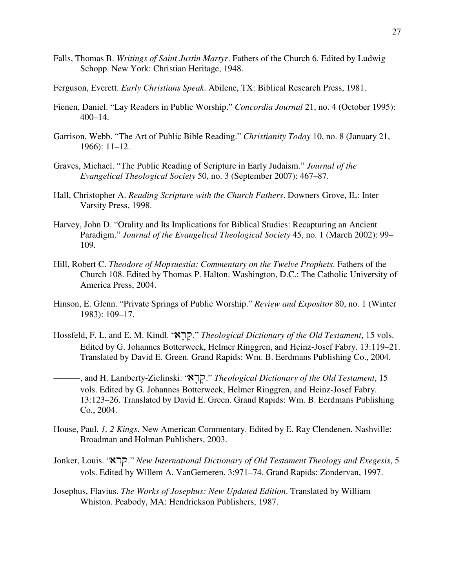- Falls, Thomas B. *Writings of Saint Justin Martyr*. Fathers of the Church 6. Edited by Ludwig Schopp. New York: Christian Heritage, 1948.
- Ferguson, Everett. *Early Christians Speak*. Abilene, TX: Biblical Research Press, 1981.
- Fienen, Daniel. "Lay Readers in Public Worship." *Concordia Journal* 21, no. 4 (October 1995): 400–14.
- Garrison, Webb. "The Art of Public Bible Reading." *Christianity Today* 10, no. 8 (January 21, 1966): 11–12.
- Graves, Michael. "The Public Reading of Scripture in Early Judaism." *Journal of the Evangelical Theological Society* 50, no. 3 (September 2007): 467–87.
- Hall, Christopher A. *Reading Scripture with the Church Fathers*. Downers Grove, IL: Inter Varsity Press, 1998.
- Harvey, John D. "Orality and Its Implications for Biblical Studies: Recapturing an Ancient Paradigm." *Journal of the Evangelical Theological Society* 45, no. 1 (March 2002): 99– 109.
- Hill, Robert C. *Theodore of Mopsuestia: Commentary on the Twelve Prophets*. Fathers of the Church 108. Edited by Thomas P. Halton. Washington, D.C.: The Catholic University of America Press, 2004.
- Hinson, E. Glenn. "Private Springs of Public Worship." *Review and Expositor* 80, no. 1 (Winter 1983): 109–17.
- Hossfeld, F. L. and E. M. Kindl. "ar 'q '." *Theological Dictionary of the Old Testament*, 15 vols. Edited by G. Johannes Botterweck, Helmer Ringgren, and Heinz-Josef Fabry. 13:119–21. Translated by David E. Green. Grand Rapids: Wm. B. Eerdmans Publishing Co., 2004.
- ———, and H. Lamberty-Zielinski. "ar 'q '." *Theological Dictionary of the Old Testament*, 15 vols. Edited by G. Johannes Botterweck, Helmer Ringgren, and Heinz-Josef Fabry. 13:123–26. Translated by David E. Green. Grand Rapids: Wm. B. Eerdmans Publishing Co., 2004.
- House, Paul. *1, 2 Kings*. New American Commentary. Edited by E. Ray Clendenen. Nashville: Broadman and Holman Publishers, 2003.
- Jonker, Louis. "arq." *New International Dictionary of Old Testament Theology and Exegesis*, 5 vols. Edited by Willem A. VanGemeren. 3:971–74. Grand Rapids: Zondervan, 1997.
- Josephus, Flavius. *The Works of Josephus: New Updated Edition*. Translated by William Whiston. Peabody, MA: Hendrickson Publishers, 1987.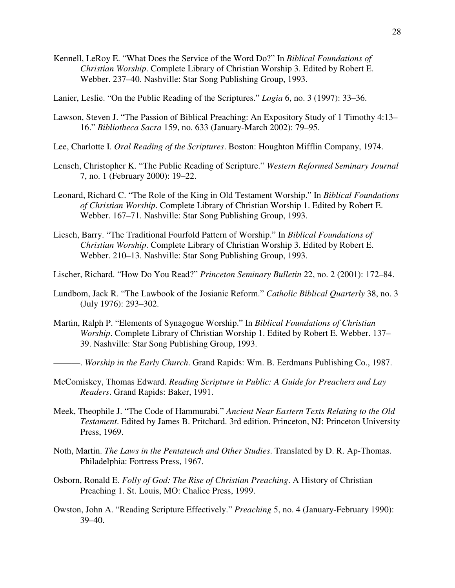- Kennell, LeRoy E. "What Does the Service of the Word Do?" In *Biblical Foundations of Christian Worship*. Complete Library of Christian Worship 3. Edited by Robert E. Webber. 237–40. Nashville: Star Song Publishing Group, 1993.
- Lanier, Leslie. "On the Public Reading of the Scriptures." *Logia* 6, no. 3 (1997): 33–36.
- Lawson, Steven J. "The Passion of Biblical Preaching: An Expository Study of 1 Timothy 4:13– 16." *Bibliotheca Sacra* 159, no. 633 (January-March 2002): 79–95.
- Lee, Charlotte I. *Oral Reading of the Scriptures*. Boston: Houghton Mifflin Company, 1974.
- Lensch, Christopher K. "The Public Reading of Scripture." *Western Reformed Seminary Journal* 7, no. 1 (February 2000): 19–22.
- Leonard, Richard C. "The Role of the King in Old Testament Worship." In *Biblical Foundations of Christian Worship*. Complete Library of Christian Worship 1. Edited by Robert E. Webber. 167–71. Nashville: Star Song Publishing Group, 1993.
- Liesch, Barry. "The Traditional Fourfold Pattern of Worship." In *Biblical Foundations of Christian Worship*. Complete Library of Christian Worship 3. Edited by Robert E. Webber. 210–13. Nashville: Star Song Publishing Group, 1993.
- Lischer, Richard. "How Do You Read?" *Princeton Seminary Bulletin* 22, no. 2 (2001): 172–84.
- Lundbom, Jack R. "The Lawbook of the Josianic Reform." *Catholic Biblical Quarterly* 38, no. 3 (July 1976): 293–302.
- Martin, Ralph P. "Elements of Synagogue Worship." In *Biblical Foundations of Christian Worship*. Complete Library of Christian Worship 1. Edited by Robert E. Webber. 137– 39. Nashville: Star Song Publishing Group, 1993.
	- ———. *Worship in the Early Church*. Grand Rapids: Wm. B. Eerdmans Publishing Co., 1987.
- McComiskey, Thomas Edward. *Reading Scripture in Public: A Guide for Preachers and Lay Readers*. Grand Rapids: Baker, 1991.
- Meek, Theophile J. "The Code of Hammurabi." *Ancient Near Eastern Texts Relating to the Old Testament*. Edited by James B. Pritchard. 3rd edition. Princeton, NJ: Princeton University Press, 1969.
- Noth, Martin. *The Laws in the Pentateuch and Other Studies*. Translated by D. R. Ap-Thomas. Philadelphia: Fortress Press, 1967.
- Osborn, Ronald E. *Folly of God: The Rise of Christian Preaching*. A History of Christian Preaching 1. St. Louis, MO: Chalice Press, 1999.
- Owston, John A. "Reading Scripture Effectively." *Preaching* 5, no. 4 (January-February 1990): 39–40.